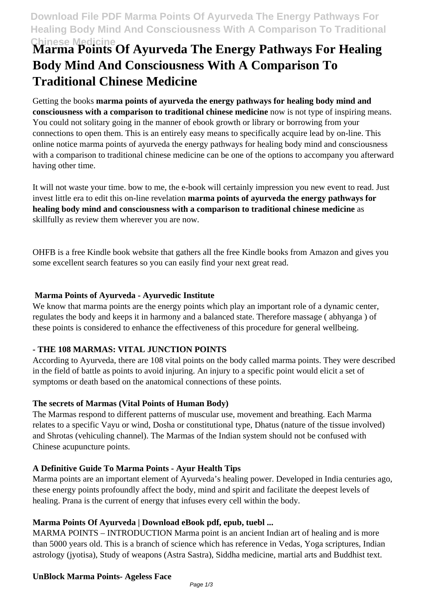# **Chinese Medicine Marma Points Of Ayurveda The Energy Pathways For Healing Body Mind And Consciousness With A Comparison To Traditional Chinese Medicine**

Getting the books **marma points of ayurveda the energy pathways for healing body mind and consciousness with a comparison to traditional chinese medicine** now is not type of inspiring means. You could not solitary going in the manner of ebook growth or library or borrowing from your connections to open them. This is an entirely easy means to specifically acquire lead by on-line. This online notice marma points of ayurveda the energy pathways for healing body mind and consciousness with a comparison to traditional chinese medicine can be one of the options to accompany you afterward having other time.

It will not waste your time. bow to me, the e-book will certainly impression you new event to read. Just invest little era to edit this on-line revelation **marma points of ayurveda the energy pathways for healing body mind and consciousness with a comparison to traditional chinese medicine** as skillfully as review them wherever you are now.

OHFB is a free Kindle book website that gathers all the free Kindle books from Amazon and gives you some excellent search features so you can easily find your next great read.

#### **Marma Points of Ayurveda - Ayurvedic Institute**

We know that marma points are the energy points which play an important role of a dynamic center, regulates the body and keeps it in harmony and a balanced state. Therefore massage ( abhyanga ) of these points is considered to enhance the effectiveness of this procedure for general wellbeing.

# **- THE 108 MARMAS: VITAL JUNCTION POINTS**

According to Ayurveda, there are 108 vital points on the body called marma points. They were described in the field of battle as points to avoid injuring. An injury to a specific point would elicit a set of symptoms or death based on the anatomical connections of these points.

# **The secrets of Marmas (Vital Points of Human Body)**

The Marmas respond to different patterns of muscular use, movement and breathing. Each Marma relates to a specific Vayu or wind, Dosha or constitutional type, Dhatus (nature of the tissue involved) and Shrotas (vehiculing channel). The Marmas of the Indian system should not be confused with Chinese acupuncture points.

# **A Definitive Guide To Marma Points - Ayur Health Tips**

Marma points are an important element of Ayurveda's healing power. Developed in India centuries ago, these energy points profoundly affect the body, mind and spirit and facilitate the deepest levels of healing. Prana is the current of energy that infuses every cell within the body.

# **Marma Points Of Ayurveda | Download eBook pdf, epub, tuebl ...**

MARMA POINTS – INTRODUCTION Marma point is an ancient Indian art of healing and is more than 5000 years old. This is a branch of science which has reference in Vedas, Yoga scriptures, Indian astrology (jyotisa), Study of weapons (Astra Sastra), Siddha medicine, martial arts and Buddhist text.

#### **UnBlock Marma Points- Ageless Face**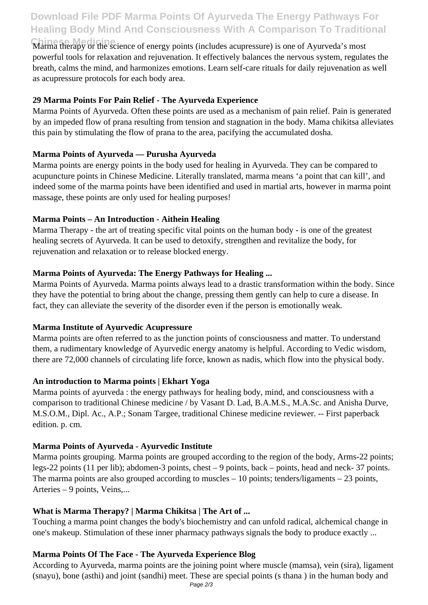# **Download File PDF Marma Points Of Ayurveda The Energy Pathways For Healing Body Mind And Consciousness With A Comparison To Traditional**

**Chinese Medicine** Marma therapy or the science of energy points (includes acupressure) is one of Ayurveda's most powerful tools for relaxation and rejuvenation. It effectively balances the nervous system, regulates the breath, calms the mind, and harmonizes emotions. Learn self-care rituals for daily rejuvenation as well as acupressure protocols for each body area.

#### **29 Marma Points For Pain Relief - The Ayurveda Experience**

Marma Points of Ayurveda. Often these points are used as a mechanism of pain relief. Pain is generated by an impeded flow of prana resulting from tension and stagnation in the body. Mama chikitsa alleviates this pain by stimulating the flow of prana to the area, pacifying the accumulated dosha.

#### **Marma Points of Ayurveda — Purusha Ayurveda**

Marma points are energy points in the body used for healing in Ayurveda. They can be compared to acupuncture points in Chinese Medicine. Literally translated, marma means 'a point that can kill', and indeed some of the marma points have been identified and used in martial arts, however in marma point massage, these points are only used for healing purposes!

#### **Marma Points – An Introduction - Aithein Healing**

Marma Therapy - the art of treating specific vital points on the human body - is one of the greatest healing secrets of Ayurveda. It can be used to detoxify, strengthen and revitalize the body, for rejuvenation and relaxation or to release blocked energy.

#### **Marma Points of Ayurveda: The Energy Pathways for Healing ...**

Marma Points of Ayurveda. Marma points always lead to a drastic transformation within the body. Since they have the potential to bring about the change, pressing them gently can help to cure a disease. In fact, they can alleviate the severity of the disorder even if the person is emotionally weak.

#### **Marma Institute of Ayurvedic Acupressure**

Marma points are often referred to as the junction points of consciousness and matter. To understand them, a rudimentary knowledge of Ayurvedic energy anatomy is helpful. According to Vedic wisdom, there are 72,000 channels of circulating life force, known as nadis, which flow into the physical body.

#### **An introduction to Marma points | Ekhart Yoga**

Marma points of ayurveda : the energy pathways for healing body, mind, and consciousness with a comparison to traditional Chinese medicine / by Vasant D. Lad, B.A.M.S., M.A.Sc. and Anisha Durve, M.S.O.M., Dipl. Ac., A.P.; Sonam Targee, traditional Chinese medicine reviewer. -- First paperback edition. p. cm.

# **Marma Points of Ayurveda - Ayurvedic Institute**

Marma points grouping. Marma points are grouped according to the region of the body, Arms-22 points; legs-22 points (11 per lib); abdomen-3 points, chest – 9 points, back – points, head and neck- 37 points. The marma points are also grouped according to muscles  $-10$  points; tenders/ligaments  $-23$  points, Arteries – 9 points, Veins,...

# **What is Marma Therapy? | Marma Chikitsa | The Art of ...**

Touching a marma point changes the body's biochemistry and can unfold radical, alchemical change in one's makeup. Stimulation of these inner pharmacy pathways signals the body to produce exactly ...

# **Marma Points Of The Face - The Ayurveda Experience Blog**

According to Ayurveda, marma points are the joining point where muscle (mamsa), vein (sira), ligament (snayu), bone (asthi) and joint (sandhi) meet. These are special points (s thana ) in the human body and Page 2/3